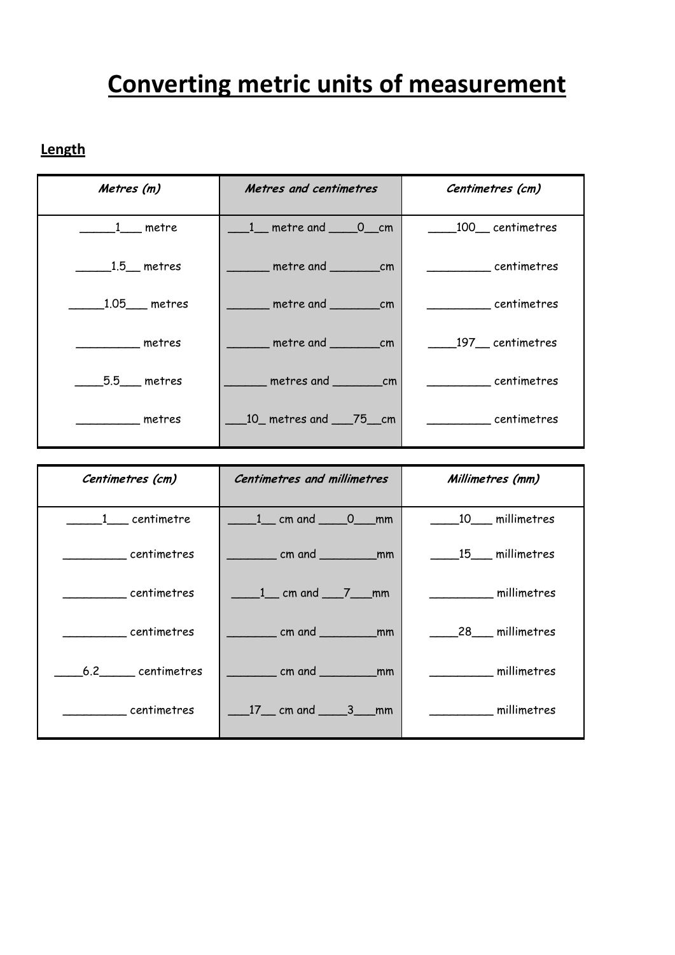## **Converting metric units of measurement**

## **Length**